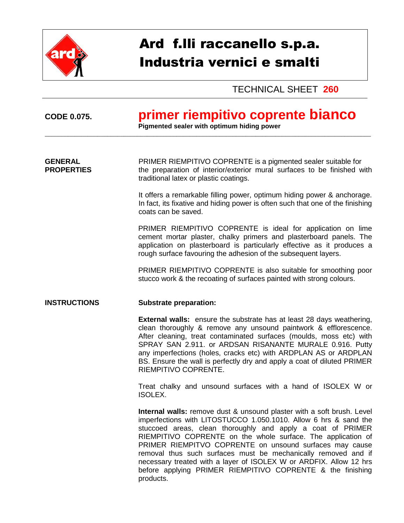

# Ard f.lli raccanello s.p.a. Industria vernici e smalti

TECHNICAL SHEET **260**

## **CODE 0.075. primer riempitivo coprente bianco**

**Pigmented sealer with optimum hiding power** \_\_\_\_\_\_\_\_\_\_\_\_\_\_\_\_\_\_\_\_\_\_\_\_\_\_\_\_\_\_\_\_\_\_\_\_\_\_\_\_\_\_\_\_\_\_\_\_\_\_\_\_\_\_\_\_\_\_\_\_\_\_\_\_\_\_\_\_\_\_\_\_\_\_\_\_\_\_\_\_\_\_\_\_\_\_\_\_\_\_\_\_\_\_\_\_\_\_\_

**GENERAL** PRIMER RIEMPITIVO COPRENTE is a pigmented sealer suitable for **PROPERTIES** the preparation of interior/exterior mural surfaces to be finished with traditional latex or plastic coatings.

> It offers a remarkable filling power, optimum hiding power & anchorage. In fact, its fixative and hiding power is often such that one of the finishing coats can be saved.

> PRIMER RIEMPITIVO COPRENTE is ideal for application on lime cement mortar plaster, chalky primers and plasterboard panels. The application on plasterboard is particularly effective as it produces a rough surface favouring the adhesion of the subsequent layers.

> PRIMER RIEMPITIVO COPRENTE is also suitable for smoothing poor stucco work & the recoating of surfaces painted with strong colours.

#### **INSTRUCTIONS Substrate preparation:**

**External walls:** ensure the substrate has at least 28 days weathering, clean thoroughly & remove any unsound paintwork & efflorescence. After cleaning, treat contaminated surfaces (moulds, moss etc) with SPRAY SAN 2.911. or ARDSAN RISANANTE MURALE 0.916. Putty any imperfections (holes, cracks etc) with ARDPLAN AS or ARDPLAN BS. Ensure the wall is perfectly dry and apply a coat of diluted PRIMER RIEMPITIVO COPRENTE.

Treat chalky and unsound surfaces with a hand of ISOLEX W or ISOLEX.

**Internal walls:** remove dust & unsound plaster with a soft brush. Level imperfections with LITOSTUCCO 1.050.1010. Allow 6 hrs & sand the stuccoed areas, clean thoroughly and apply a coat of PRIMER RIEMPITIVO COPRENTE on the whole surface. The application of PRIMER RIEMPITVO COPRENTE on unsound surfaces may cause removal thus such surfaces must be mechanically removed and if necessary treated with a layer of ISOLEX W or ARDFIX. Allow 12 hrs before applying PRIMER RIEMPITIVO COPRENTE & the finishing products.